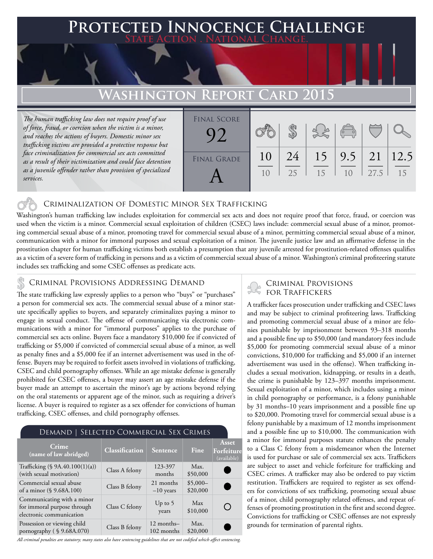# **FED INNOCENCE CHALLENGE State Action . National Change. Washington Report Card 2015**

*The human trafficking law does not require proof of use of force, fraud, or coercion when the victim is a minor, and reaches the actions of buyers. Domestic minor sex trafficking victims are provided a protective response but face criminalization for commercial sex acts committed as a result of their victimization and could face detention as a juvenile offender rather than provision of specialized services.* 

| <b>FINAL SCORE</b> |                      |          |    | $\overline{C}$                        |      |    |
|--------------------|----------------------|----------|----|---------------------------------------|------|----|
| <b>FINAL GRADE</b> | 10<br>1 <sub>0</sub> | 24<br>25 | 15 | $15 \mid 9.5 \mid 21 \mid 12.5$<br>10 | 27.5 | 15 |

### Criminalization of Domestic Minor Sex Trafficking

Washington's human trafficking law includes exploitation for commercial sex acts and does not require proof that force, fraud, or coercion was used when the victim is a minor. Commercial sexual exploitation of children (CSEC) laws include: commercial sexual abuse of a minor, promoting commercial sexual abuse of a minor, promoting travel for commercial sexual abuse of a minor, permitting commercial sexual abuse of a minor, communication with a minor for immoral purposes and sexual exploitation of a minor. The juvenile justice law and an affirmative defense in the prostitution chapter for human trafficking victims both establish a presumption that any juvenile arrested for prostitution-related offenses qualifies as a victim of a severe form of trafficking in persons and as a victim of commercial sexual abuse of a minor. Washington's criminal profiteering statute includes sex trafficking and some CSEC offenses as predicate acts.

### Criminal Provisions Addressing Demand

The state trafficking law expressly applies to a person who "buys" or "purchases" a person for commercial sex acts. The commercial sexual abuse of a minor statute specifically applies to buyers, and separately criminalizes paying a minor to engage in sexual conduct. The offense of communicating via electronic communications with a minor for "immoral purposes" applies to the purchase of commercial sex acts online. Buyers face a mandatory \$10,000 fee if convicted of trafficking or \$5,000 if convicted of commercial sexual abuse of a minor, as well as penalty fines and a \$5,000 fee if an internet advertisement was used in the offense. Buyers may be required to forfeit assets involved in violations of trafficking, CSEC and child pornography offenses. While an age mistake defense is generally prohibited for CSEC offenses, a buyer may assert an age mistake defense if the buyer made an attempt to ascertain the minor's age by actions beyond relying on the oral statements or apparent age of the minor, such as requiring a driver's license. A buyer is required to register as a sex offender for convictions of human trafficking, CSEC offenses, and child pornography offenses.

| SELECTED COMMERCIAL SEX CRIMES<br>Demand                                              |                |                          |                       |                                           |  |  |  |
|---------------------------------------------------------------------------------------|----------------|--------------------------|-----------------------|-------------------------------------------|--|--|--|
| Crime<br>(name of law abridged)                                                       | Classification | Sentence                 | <b>Fine</b>           | <b>Asset</b><br>Forfeiture<br>(available) |  |  |  |
| Trafficking $(\S$ 9A.40.100(1)(a))<br>(with sexual motivation)                        | Class A felony | 123-397<br>months        | Max.<br>\$50,000      |                                           |  |  |  |
| Commercial sexual abuse<br>of a minor (§ 9.68A.100)                                   | Class B felony | 21 months<br>$-10$ years | $$5,000-$<br>\$20,000 |                                           |  |  |  |
| Communicating with a minor<br>for immoral purpose through<br>electronic communication | Class C felony | Up to $5$<br>years       | Max<br>\$10,000       |                                           |  |  |  |
| Possession or viewing child<br>pornography (§9.68A.070)                               | Class B felony | 12 months-<br>102 months | Max.<br>\$20,000      |                                           |  |  |  |

#### *All criminal penalties are statutory; many states also have sentencing guidelines that are not codified which affect sentencing.*

## **CRIMINAL PROVISIONS**<br>FOR TRAFFICKERS

A trafficker faces prosecution under trafficking and CSEC laws and may be subject to criminal profiteering laws. Trafficking and promoting commercial sexual abuse of a minor are felonies punishable by imprisonment between 93–318 months and a possible fine up to \$50,000 (and mandatory fees include \$5,000 for promoting commercial sexual abuse of a minor convictions, \$10,000 for trafficking and \$5,000 if an internet advertisement was used in the offense). When trafficking includes a sexual motivation, kidnapping, or results in a death, the crime is punishable by 123–397 months imprisonment. Sexual exploitation of a minor, which includes using a minor in child pornography or performance, is a felony punishable by 31 months–10 years imprisonment and a possible fine up to \$20,000. Promoting travel for commercial sexual abuse is a felony punishable by a maximum of 12 months imprisonment and a possible fine up to \$10,000. The communication with a minor for immoral purposes statute enhances the penalty to a Class C felony from a misdemeanor when the Internet is used for purchase or sale of commercial sex acts. Traffickers are subject to asset and vehicle forfeiture for trafficking and CSEC crimes. A trafficker may also be ordered to pay victim restitution. Traffickers are required to register as sex offenders for convictions of sex trafficking, promoting sexual abuse of a minor, child pornography related offenses, and repeat offenses of promoting prostitution in the first and second degree. Convictions for trafficking or CSEC offenses are not expressly grounds for termination of parental rights.